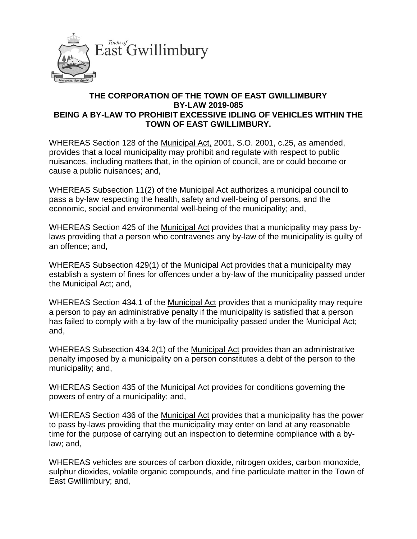

## **THE CORPORATION OF THE TOWN OF EAST GWILLIMBURY BY-LAW 2019-085 BEING A BY-LAW TO PROHIBIT EXCESSIVE IDLING OF VEHICLES WITHIN THE TOWN OF EAST GWILLIMBURY.**

WHEREAS Section 128 of the Municipal Act, 2001, S.O. 2001, c.25, as amended, provides that a local municipality may prohibit and regulate with respect to public nuisances, including matters that, in the opinion of council, are or could become or cause a public nuisances; and,

WHEREAS Subsection 11(2) of the Municipal Act authorizes a municipal council to pass a by-law respecting the health, safety and well-being of persons, and the economic, social and environmental well-being of the municipality; and,

WHEREAS Section 425 of the Municipal Act provides that a municipality may pass bylaws providing that a person who contravenes any by-law of the municipality is guilty of an offence; and,

WHEREAS Subsection 429(1) of the Municipal Act provides that a municipality may establish a system of fines for offences under a by-law of the municipality passed under the Municipal Act; and,

WHEREAS Section 434.1 of the Municipal Act provides that a municipality may require a person to pay an administrative penalty if the municipality is satisfied that a person has failed to comply with a by-law of the municipality passed under the Municipal Act; and,

WHEREAS Subsection 434.2(1) of the Municipal Act provides than an administrative penalty imposed by a municipality on a person constitutes a debt of the person to the municipality; and,

WHEREAS Section 435 of the Municipal Act provides for conditions governing the powers of entry of a municipality; and,

WHEREAS Section 436 of the Municipal Act provides that a municipality has the power to pass by-laws providing that the municipality may enter on land at any reasonable time for the purpose of carrying out an inspection to determine compliance with a bylaw; and,

WHEREAS vehicles are sources of carbon dioxide, nitrogen oxides, carbon monoxide, sulphur dioxides, volatile organic compounds, and fine particulate matter in the Town of East Gwillimbury; and,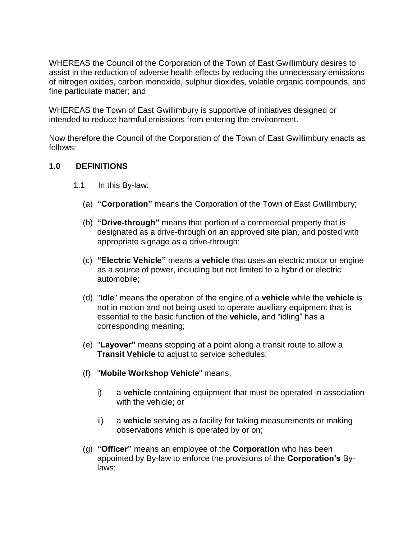WHEREAS the Council of the Corporation of the Town of East Gwillimbury desires to assist in the reduction of adverse health effects by reducing the unnecessary emissions of nitrogen oxides, carbon monoxide, sulphur dioxides, volatile organic compounds, and fine particulate matter; and

WHEREAS the Town of East Gwillimbury is supportive of initiatives designed or intended to reduce harmful emissions from entering the environment.

Now therefore the Council of the Corporation of the Town of East Gwillimbury enacts as follows:

## **1.0 DEFINITIONS**

- 1.1 In this By-law:
	- (a) **"Corporation"** means the Corporation of the Town of East Gwillimbury;
	- (b) **"Drive-through"** means that portion of a commercial property that is designated as a drive-through on an approved site plan, and posted with appropriate signage as a drive-through;
	- (c) **"Electric Vehicle"** means a **vehicle** that uses an electric motor or engine as a source of power, including but not limited to a hybrid or electric automobile;
	- (d) "**Idle**" means the operation of the engine of a **vehicle** while the **vehicle** is not in motion and not being used to operate auxiliary equipment that is essential to the basic function of the **vehicle**, and "idling" has a corresponding meaning;
	- (e) "**Layover"** means stopping at a point along a transit route to allow a **Transit Vehicle** to adjust to service schedules;
	- (f) "**Mobile Workshop Vehicle**" means,
		- i) a **vehicle** containing equipment that must be operated in association with the vehicle; or
		- ii) a **vehicle** serving as a facility for taking measurements or making observations which is operated by or on;
	- (g) **"Officer"** means an employee of the **Corporation** who has been appointed by By-law to enforce the provisions of the **Corporation's** Bylaws;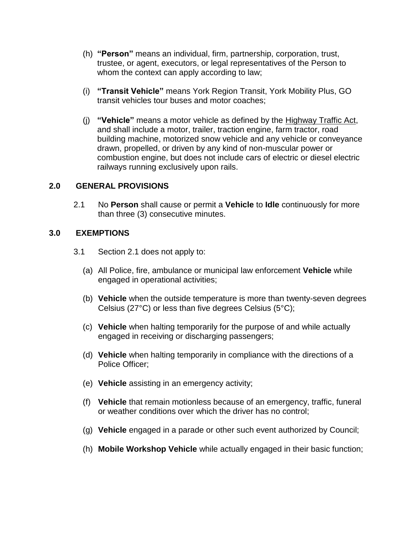- (h) **"Person"** means an individual, firm, partnership, corporation, trust, trustee, or agent, executors, or legal representatives of the Person to whom the context can apply according to law;
- (i) **"Transit Vehicle"** means York Region Transit, York Mobility Plus, GO transit vehicles tour buses and motor coaches;
- (j) **"Vehicle"** means a motor vehicle as defined by the Highway Traffic Act, and shall include a motor, trailer, traction engine, farm tractor, road building machine, motorized snow vehicle and any vehicle or conveyance drawn, propelled, or driven by any kind of non-muscular power or combustion engine, but does not include cars of electric or diesel electric railways running exclusively upon rails.

#### **2.0 GENERAL PROVISIONS**

2.1 No **Person** shall cause or permit a **Vehicle** to **Idle** continuously for more than three (3) consecutive minutes.

#### **3.0 EXEMPTIONS**

- 3.1 Section 2.1 does not apply to:
	- (a) All Police, fire, ambulance or municipal law enforcement **Vehicle** while engaged in operational activities;
	- (b) **Vehicle** when the outside temperature is more than twenty-seven degrees Celsius (27°C) or less than five degrees Celsius (5°C);
	- (c) **Vehicle** when halting temporarily for the purpose of and while actually engaged in receiving or discharging passengers;
	- (d) **Vehicle** when halting temporarily in compliance with the directions of a Police Officer;
	- (e) **Vehicle** assisting in an emergency activity;
	- (f) **Vehicle** that remain motionless because of an emergency, traffic, funeral or weather conditions over which the driver has no control;
	- (g) **Vehicle** engaged in a parade or other such event authorized by Council;
	- (h) **Mobile Workshop Vehicle** while actually engaged in their basic function;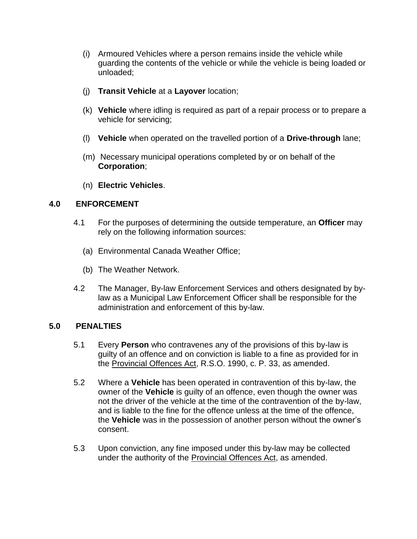- (i) Armoured Vehicles where a person remains inside the vehicle while guarding the contents of the vehicle or while the vehicle is being loaded or unloaded;
- (j) **Transit Vehicle** at a **Layover** location;
- (k) **Vehicle** where idling is required as part of a repair process or to prepare a vehicle for servicing;
- (l) **Vehicle** when operated on the travelled portion of a **Drive-through** lane;
- (m) Necessary municipal operations completed by or on behalf of the **Corporation**;
- (n) **Electric Vehicles**.

## **4.0 ENFORCEMENT**

- 4.1 For the purposes of determining the outside temperature, an **Officer** may rely on the following information sources:
	- (a) Environmental Canada Weather Office;
	- (b) The Weather Network.
- 4.2 The Manager, By-law Enforcement Services and others designated by bylaw as a Municipal Law Enforcement Officer shall be responsible for the administration and enforcement of this by-law.

#### **5.0 PENALTIES**

- 5.1 Every **Person** who contravenes any of the provisions of this by-law is guilty of an offence and on conviction is liable to a fine as provided for in the Provincial Offences Act, R.S.O. 1990, c. P. 33, as amended.
- 5.2 Where a **Vehicle** has been operated in contravention of this by-law, the owner of the **Vehicle** is guilty of an offence, even though the owner was not the driver of the vehicle at the time of the contravention of the by-law, and is liable to the fine for the offence unless at the time of the offence, the **Vehicle** was in the possession of another person without the owner's consent.
- 5.3 Upon conviction, any fine imposed under this by-law may be collected under the authority of the Provincial Offences Act, as amended.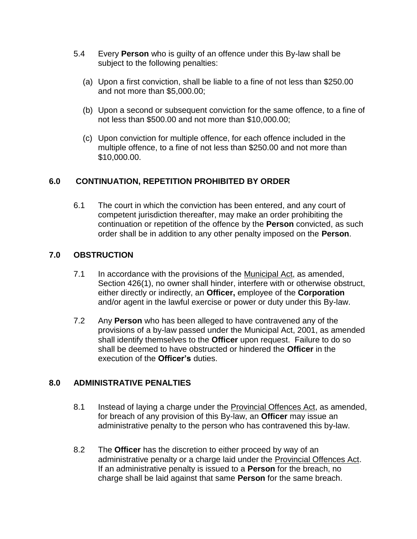- 5.4 Every **Person** who is guilty of an offence under this By-law shall be subject to the following penalties:
	- (a) Upon a first conviction, shall be liable to a fine of not less than \$250.00 and not more than \$5,000.00;
	- (b) Upon a second or subsequent conviction for the same offence, to a fine of not less than \$500.00 and not more than \$10,000.00;
	- (c) Upon conviction for multiple offence, for each offence included in the multiple offence, to a fine of not less than \$250.00 and not more than \$10,000.00.

# **6.0 CONTINUATION, REPETITION PROHIBITED BY ORDER**

6.1 The court in which the conviction has been entered, and any court of competent jurisdiction thereafter, may make an order prohibiting the continuation or repetition of the offence by the **Person** convicted, as such order shall be in addition to any other penalty imposed on the **Person**.

## **7.0 OBSTRUCTION**

- 7.1 In accordance with the provisions of the Municipal Act, as amended, Section 426(1), no owner shall hinder, interfere with or otherwise obstruct, either directly or indirectly, an **Officer,** employee of the **Corporation** and/or agent in the lawful exercise or power or duty under this By-law.
- 7.2 Any **Person** who has been alleged to have contravened any of the provisions of a by-law passed under the Municipal Act, 2001, as amended shall identify themselves to the **Officer** upon request. Failure to do so shall be deemed to have obstructed or hindered the **Officer** in the execution of the **Officer's** duties.

# **8.0 ADMINISTRATIVE PENALTIES**

- 8.1 Instead of laying a charge under the Provincial Offences Act, as amended, for breach of any provision of this By-law, an **Officer** may issue an administrative penalty to the person who has contravened this by-law.
- 8.2 The **Officer** has the discretion to either proceed by way of an administrative penalty or a charge laid under the Provincial Offences Act. If an administrative penalty is issued to a **Person** for the breach, no charge shall be laid against that same **Person** for the same breach.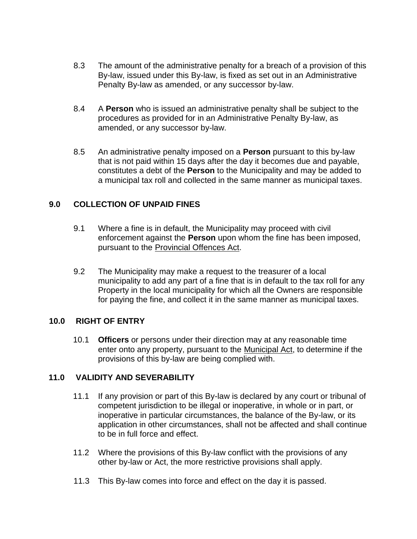- 8.3 The amount of the administrative penalty for a breach of a provision of this By-law, issued under this By-law, is fixed as set out in an Administrative Penalty By-law as amended, or any successor by-law.
- 8.4 A **Person** who is issued an administrative penalty shall be subject to the procedures as provided for in an Administrative Penalty By-law, as amended, or any successor by-law.
- 8.5 An administrative penalty imposed on a **Person** pursuant to this by-law that is not paid within 15 days after the day it becomes due and payable, constitutes a debt of the **Person** to the Municipality and may be added to a municipal tax roll and collected in the same manner as municipal taxes.

## **9.0 COLLECTION OF UNPAID FINES**

- 9.1 Where a fine is in default, the Municipality may proceed with civil enforcement against the **Person** upon whom the fine has been imposed, pursuant to the Provincial Offences Act.
- 9.2 The Municipality may make a request to the treasurer of a local municipality to add any part of a fine that is in default to the tax roll for any Property in the local municipality for which all the Owners are responsible for paying the fine, and collect it in the same manner as municipal taxes.

#### **10.0 RIGHT OF ENTRY**

10.1 **Officers** or persons under their direction may at any reasonable time enter onto any property, pursuant to the Municipal Act, to determine if the provisions of this by-law are being complied with.

# **11.0 VALIDITY AND SEVERABILITY**

- 11.1 If any provision or part of this By-law is declared by any court or tribunal of competent jurisdiction to be illegal or inoperative, in whole or in part, or inoperative in particular circumstances, the balance of the By-law, or its application in other circumstances, shall not be affected and shall continue to be in full force and effect.
- 11.2 Where the provisions of this By-law conflict with the provisions of any other by-law or Act, the more restrictive provisions shall apply.
- 11.3 This By-law comes into force and effect on the day it is passed.